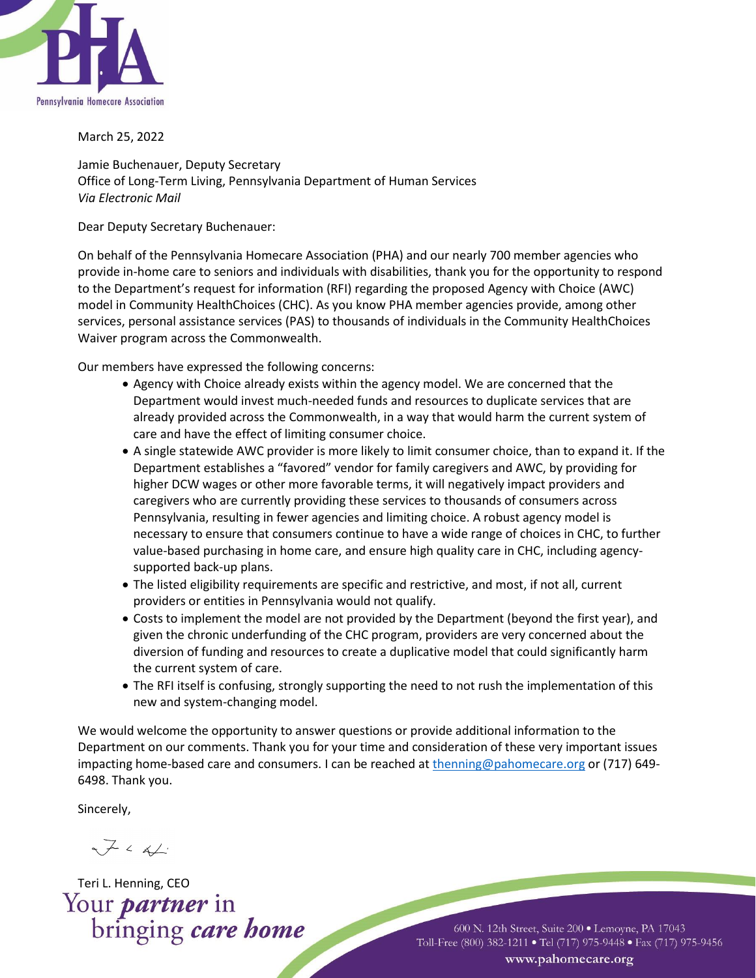

March 25, 2022

Jamie Buchenauer, Deputy Secretary Office of Long-Term Living, Pennsylvania Department of Human Services *Via Electronic Mail*

Dear Deputy Secretary Buchenauer:

On behalf of the Pennsylvania Homecare Association (PHA) and our nearly 700 member agencies who provide in-home care to seniors and individuals with disabilities, thank you for the opportunity to respond to the Department's request for information (RFI) regarding the proposed Agency with Choice (AWC) model in Community HealthChoices (CHC). As you know PHA member agencies provide, among other services, personal assistance services (PAS) to thousands of individuals in the Community HealthChoices Waiver program across the Commonwealth.

Our members have expressed the following concerns:

- Agency with Choice already exists within the agency model. We are concerned that the Department would invest much-needed funds and resources to duplicate services that are already provided across the Commonwealth, in a way that would harm the current system of care and have the effect of limiting consumer choice.
- A single statewide AWC provider is more likely to limit consumer choice, than to expand it. If the Department establishes a "favored" vendor for family caregivers and AWC, by providing for higher DCW wages or other more favorable terms, it will negatively impact providers and caregivers who are currently providing these services to thousands of consumers across Pennsylvania, resulting in fewer agencies and limiting choice. A robust agency model is necessary to ensure that consumers continue to have a wide range of choices in CHC, to further value-based purchasing in home care, and ensure high quality care in CHC, including agencysupported back-up plans.
- The listed eligibility requirements are specific and restrictive, and most, if not all, current providers or entities in Pennsylvania would not qualify.
- Costs to implement the model are not provided by the Department (beyond the first year), and given the chronic underfunding of the CHC program, providers are very concerned about the diversion of funding and resources to create a duplicative model that could significantly harm the current system of care.
- The RFI itself is confusing, strongly supporting the need to not rush the implementation of this new and system-changing model.

We would welcome the opportunity to answer questions or provide additional information to the Department on our comments. Thank you for your time and consideration of these very important issues impacting home-based care and consumers. I can be reached a[t thenning@pahomecare.org](mailto:thenning@pahomecare.org) or (717) 649-6498. Thank you.

Sincerely,

 $\nabla \cdot \Delta$ 

Teri L. Henning, CEO<br>Your *partner* in<br>bringing *care home* 

600 N. 12th Street, Suite 200 · Lemoyne, PA 17043 Toll-Free (800) 382-1211 • Tel (717) 975-9448 • Fax (717) 975-9456 www.pahomecare.org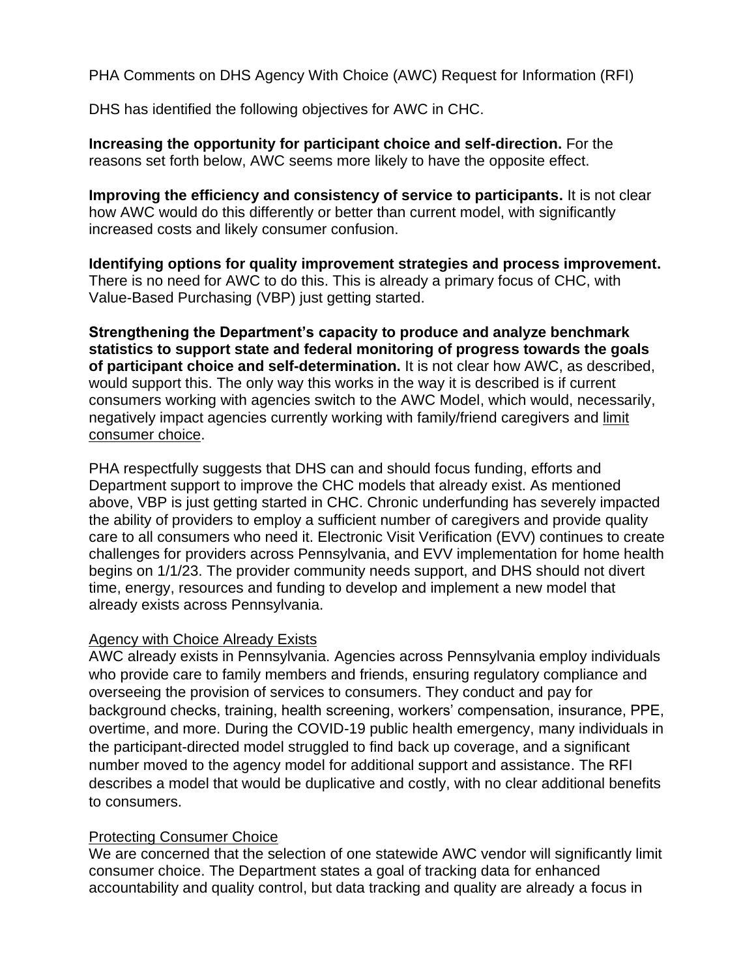PHA Comments on DHS Agency With Choice (AWC) Request for Information (RFI)

DHS has identified the following objectives for AWC in CHC.

**Increasing the opportunity for participant choice and self-direction.** For the reasons set forth below, AWC seems more likely to have the opposite effect.

**Improving the efficiency and consistency of service to participants.** It is not clear how AWC would do this differently or better than current model, with significantly increased costs and likely consumer confusion.

**Identifying options for quality improvement strategies and process improvement.** There is no need for AWC to do this. This is already a primary focus of CHC, with Value-Based Purchasing (VBP) just getting started.

**Strengthening the Department's capacity to produce and analyze benchmark statistics to support state and federal monitoring of progress towards the goals of participant choice and self-determination.** It is not clear how AWC, as described, would support this. The only way this works in the way it is described is if current consumers working with agencies switch to the AWC Model, which would, necessarily, negatively impact agencies currently working with family/friend caregivers and limit consumer choice.

PHA respectfully suggests that DHS can and should focus funding, efforts and Department support to improve the CHC models that already exist. As mentioned above, VBP is just getting started in CHC. Chronic underfunding has severely impacted the ability of providers to employ a sufficient number of caregivers and provide quality care to all consumers who need it. Electronic Visit Verification (EVV) continues to create challenges for providers across Pennsylvania, and EVV implementation for home health begins on 1/1/23. The provider community needs support, and DHS should not divert time, energy, resources and funding to develop and implement a new model that already exists across Pennsylvania.

## Agency with Choice Already Exists

AWC already exists in Pennsylvania. Agencies across Pennsylvania employ individuals who provide care to family members and friends, ensuring regulatory compliance and overseeing the provision of services to consumers. They conduct and pay for background checks, training, health screening, workers' compensation, insurance, PPE, overtime, and more. During the COVID-19 public health emergency, many individuals in the participant-directed model struggled to find back up coverage, and a significant number moved to the agency model for additional support and assistance. The RFI describes a model that would be duplicative and costly, with no clear additional benefits to consumers.

## Protecting Consumer Choice

We are concerned that the selection of one statewide AWC vendor will significantly limit consumer choice. The Department states a goal of tracking data for enhanced accountability and quality control, but data tracking and quality are already a focus in